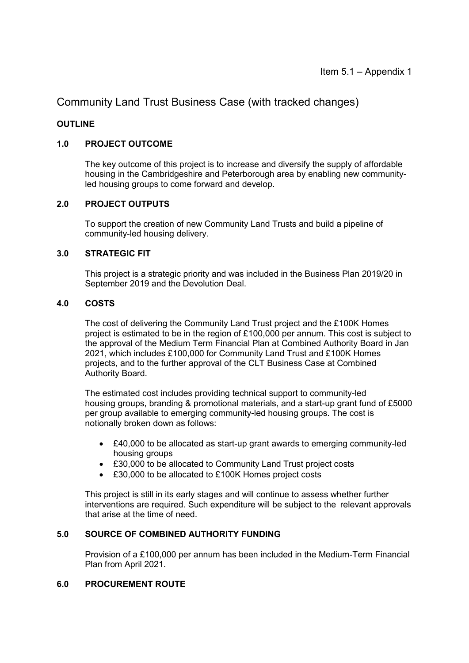Community Land Trust Business Case (with tracked changes)

### **OUTLINE**

### **1.0 PROJECT OUTCOME**

The key outcome of this project is to increase and diversify the supply of affordable housing in the Cambridgeshire and Peterborough area by enabling new communityled housing groups to come forward and develop.

### **2.0 PROJECT OUTPUTS**

To support the creation of new Community Land Trusts and build a pipeline of community-led housing delivery.

### **3.0 STRATEGIC FIT**

This project is a strategic priority and was included in the Business Plan 2019/20 in September 2019 and the Devolution Deal.

### **4.0 COSTS**

The cost of delivering the Community Land Trust project and the £100K Homes project is estimated to be in the region of £100,000 per annum. This cost is subject to the approval of the Medium Term Financial Plan at Combined Authority Board in Jan 2021, which includes £100,000 for Community Land Trust and £100K Homes projects, and to the further approval of the CLT Business Case at Combined Authority Board.

 The estimated cost includes providing technical support to community-led housing groups, branding & promotional materials, and a start-up grant fund of £5000 per group available to emerging community-led housing groups. The cost is notionally broken down as follows:

- £40,000 to be allocated as start-up grant awards to emerging community-led housing groups
- £30,000 to be allocated to Community Land Trust project costs
- £30,000 to be allocated to £100K Homes project costs

 This project is still in its early stages and will continue to assess whether further interventions are required. Such expenditure will be subject to the relevant approvals that arise at the time of need.

### **5.0 SOURCE OF COMBINED AUTHORITY FUNDING**

Provision of a £100,000 per annum has been included in the Medium-Term Financial Plan from April 2021.

### **6.0 PROCUREMENT ROUTE**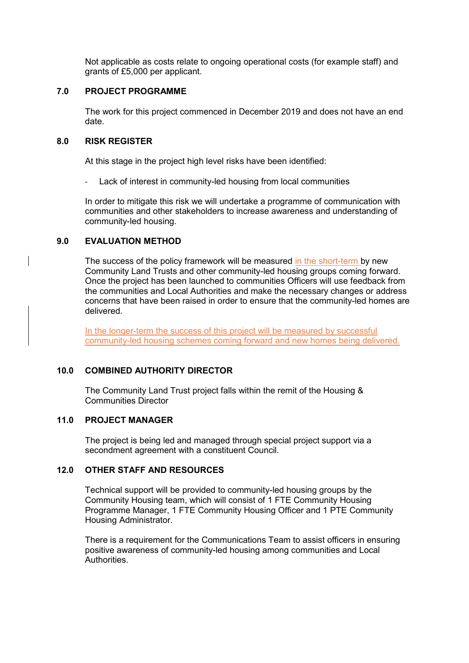Not applicable as costs relate to ongoing operational costs (for example staff) and grants of £5,000 per applicant.

### **7.0 PROJECT PROGRAMME**

The work for this project commenced in December 2019 and does not have an end date.

#### **8.0 RISK REGISTER**

At this stage in the project high level risks have been identified:

Lack of interest in community-led housing from local communities

In order to mitigate this risk we will undertake a programme of communication with communities and other stakeholders to increase awareness and understanding of community-led housing.

### **9.0 EVALUATION METHOD**

The success of the policy framework will be measured in the short-term by new Community Land Trusts and other community-led housing groups coming forward. Once the project has been launched to communities Officers will use feedback from the communities and Local Authorities and make the necessary changes or address concerns that have been raised in order to ensure that the community-led homes are delivered.

In the longer-term the success of this project will be measured by successful community-led housing schemes coming forward and new homes being delivered.

### **10.0 COMBINED AUTHORITY DIRECTOR**

The Community Land Trust project falls within the remit of the Housing & Communities Director

### **11.0 PROJECT MANAGER**

The project is being led and managed through special project support via a secondment agreement with a constituent Council.

### **12.0 OTHER STAFF AND RESOURCES**

Technical support will be provided to community-led housing groups by the Community Housing team, which will consist of 1 FTE Community Housing Programme Manager, 1 FTE Community Housing Officer and 1 PTE Community Housing Administrator.

There is a requirement for the Communications Team to assist officers in ensuring positive awareness of community-led housing among communities and Local Authorities.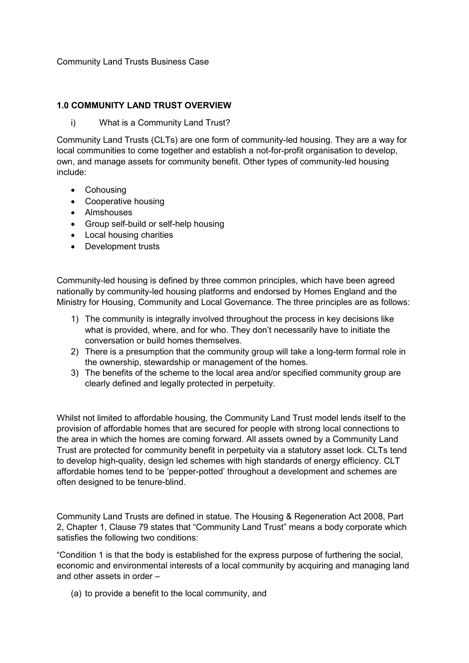Community Land Trusts Business Case

### **1.0 COMMUNITY LAND TRUST OVERVIEW**

i) What is a Community Land Trust?

Community Land Trusts (CLTs) are one form of community-led housing. They are a way for local communities to come together and establish a not-for-profit organisation to develop, own, and manage assets for community benefit. Other types of community-led housing include:

- Cohousing
- Cooperative housing
- Almshouses
- Group self-build or self-help housing
- Local housing charities
- Development trusts

Community-led housing is defined by three common principles, which have been agreed nationally by community-led housing platforms and endorsed by Homes England and the Ministry for Housing, Community and Local Governance. The three principles are as follows:

- 1) The community is integrally involved throughout the process in key decisions like what is provided, where, and for who. They don't necessarily have to initiate the conversation or build homes themselves.
- 2) There is a presumption that the community group will take a long-term formal role in the ownership, stewardship or management of the homes.
- 3) The benefits of the scheme to the local area and/or specified community group are clearly defined and legally protected in perpetuity.

Whilst not limited to affordable housing, the Community Land Trust model lends itself to the provision of affordable homes that are secured for people with strong local connections to the area in which the homes are coming forward. All assets owned by a Community Land Trust are protected for community benefit in perpetuity via a statutory asset lock. CLTs tend to develop high-quality, design led schemes with high standards of energy efficiency. CLT affordable homes tend to be 'pepper-potted' throughout a development and schemes are often designed to be tenure-blind.

Community Land Trusts are defined in statue. The Housing & Regeneration Act 2008, Part 2, Chapter 1, Clause 79 states that "Community Land Trust" means a body corporate which satisfies the following two conditions:

"Condition 1 is that the body is established for the express purpose of furthering the social, economic and environmental interests of a local community by acquiring and managing land and other assets in order –

(a) to provide a benefit to the local community, and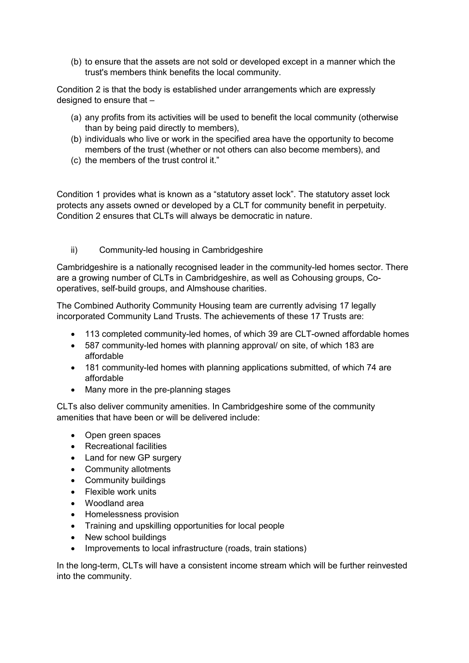(b) to ensure that the assets are not sold or developed except in a manner which the trust's members think benefits the local community.

Condition 2 is that the body is established under arrangements which are expressly designed to ensure that –

- (a) any profits from its activities will be used to benefit the local community (otherwise than by being paid directly to members),
- (b) individuals who live or work in the specified area have the opportunity to become members of the trust (whether or not others can also become members), and
- (c) the members of the trust control it."

Condition 1 provides what is known as a "statutory asset lock". The statutory asset lock protects any assets owned or developed by a CLT for community benefit in perpetuity. Condition 2 ensures that CLTs will always be democratic in nature.

ii) Community-led housing in Cambridgeshire

Cambridgeshire is a nationally recognised leader in the community-led homes sector. There are a growing number of CLTs in Cambridgeshire, as well as Cohousing groups, Cooperatives, self-build groups, and Almshouse charities.

The Combined Authority Community Housing team are currently advising 17 legally incorporated Community Land Trusts. The achievements of these 17 Trusts are:

- 113 completed community-led homes, of which 39 are CLT-owned affordable homes
- 587 community-led homes with planning approval/ on site, of which 183 are affordable
- 181 community-led homes with planning applications submitted, of which 74 are affordable
- Many more in the pre-planning stages

CLTs also deliver community amenities. In Cambridgeshire some of the community amenities that have been or will be delivered include:

- Open green spaces
- Recreational facilities
- Land for new GP surgery
- Community allotments
- Community buildings
- Flexible work units
- Woodland area
- Homelessness provision
- Training and upskilling opportunities for local people
- New school buildings
- Improvements to local infrastructure (roads, train stations)

In the long-term, CLTs will have a consistent income stream which will be further reinvested into the community.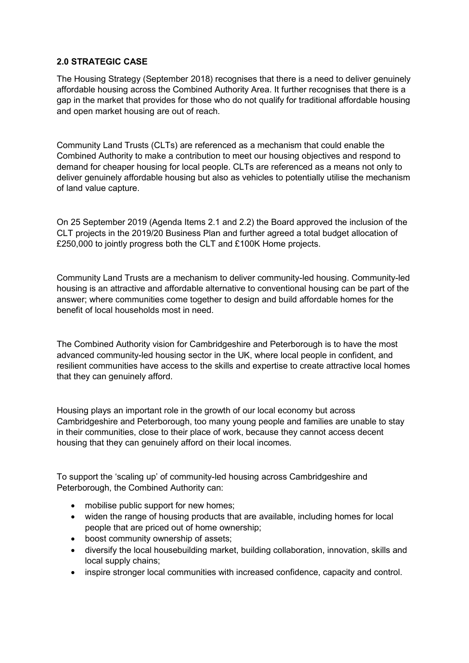### **2.0 STRATEGIC CASE**

The Housing Strategy (September 2018) recognises that there is a need to deliver genuinely affordable housing across the Combined Authority Area. It further recognises that there is a gap in the market that provides for those who do not qualify for traditional affordable housing and open market housing are out of reach.

Community Land Trusts (CLTs) are referenced as a mechanism that could enable the Combined Authority to make a contribution to meet our housing objectives and respond to demand for cheaper housing for local people. CLTs are referenced as a means not only to deliver genuinely affordable housing but also as vehicles to potentially utilise the mechanism of land value capture.

On 25 September 2019 (Agenda Items 2.1 and 2.2) the Board approved the inclusion of the CLT projects in the 2019/20 Business Plan and further agreed a total budget allocation of £250,000 to jointly progress both the CLT and £100K Home projects.

Community Land Trusts are a mechanism to deliver community-led housing. Community-led housing is an attractive and affordable alternative to conventional housing can be part of the answer; where communities come together to design and build affordable homes for the benefit of local households most in need.

The Combined Authority vision for Cambridgeshire and Peterborough is to have the most advanced community-led housing sector in the UK, where local people in confident, and resilient communities have access to the skills and expertise to create attractive local homes that they can genuinely afford.

Housing plays an important role in the growth of our local economy but across Cambridgeshire and Peterborough, too many young people and families are unable to stay in their communities, close to their place of work, because they cannot access decent housing that they can genuinely afford on their local incomes.

To support the 'scaling up' of community-led housing across Cambridgeshire and Peterborough, the Combined Authority can:

- mobilise public support for new homes;
- widen the range of housing products that are available, including homes for local people that are priced out of home ownership;
- boost community ownership of assets;
- diversify the local housebuilding market, building collaboration, innovation, skills and local supply chains;
- inspire stronger local communities with increased confidence, capacity and control.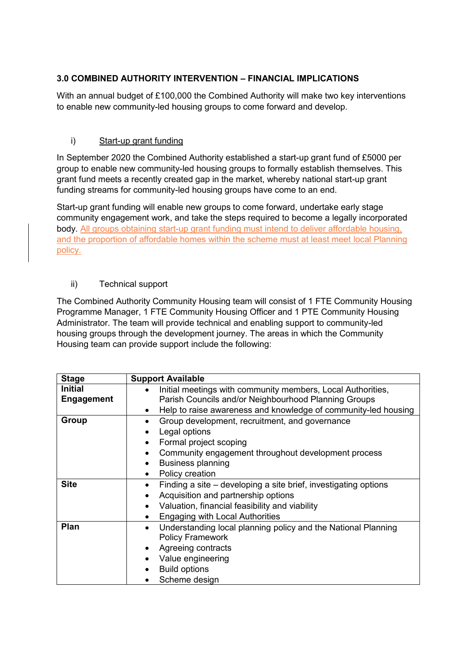# **3.0 COMBINED AUTHORITY INTERVENTION – FINANCIAL IMPLICATIONS**

With an annual budget of £100,000 the Combined Authority will make two key interventions to enable new community-led housing groups to come forward and develop.

### i) Start-up grant funding

In September 2020 the Combined Authority established a start-up grant fund of £5000 per group to enable new community-led housing groups to formally establish themselves. This grant fund meets a recently created gap in the market, whereby national start-up grant funding streams for community-led housing groups have come to an end.

Start-up grant funding will enable new groups to come forward, undertake early stage community engagement work, and take the steps required to become a legally incorporated body. All groups obtaining start-up grant funding must intend to deliver affordable housing. and the proportion of affordable homes within the scheme must at least meet local Planning policy.

### ii) Technical support

The Combined Authority Community Housing team will consist of 1 FTE Community Housing Programme Manager, 1 FTE Community Housing Officer and 1 PTE Community Housing Administrator. The team will provide technical and enabling support to community-led housing groups through the development journey. The areas in which the Community Housing team can provide support include the following:

| <b>Stage</b>      | <b>Support Available</b>                                                     |
|-------------------|------------------------------------------------------------------------------|
| <b>Initial</b>    | Initial meetings with community members, Local Authorities,                  |
| <b>Engagement</b> | Parish Councils and/or Neighbourhood Planning Groups                         |
|                   | Help to raise awareness and knowledge of community-led housing<br>$\bullet$  |
| Group             | Group development, recruitment, and governance                               |
|                   | Legal options                                                                |
|                   | Formal project scoping<br>$\bullet$                                          |
|                   | Community engagement throughout development process                          |
|                   | <b>Business planning</b><br>$\bullet$                                        |
|                   | Policy creation<br>$\bullet$                                                 |
| <b>Site</b>       | Finding a site – developing a site brief, investigating options<br>$\bullet$ |
|                   | Acquisition and partnership options<br>٠                                     |
|                   | Valuation, financial feasibility and viability<br>$\bullet$                  |
|                   | <b>Engaging with Local Authorities</b><br>$\bullet$                          |
| Plan              | Understanding local planning policy and the National Planning<br>$\bullet$   |
|                   | <b>Policy Framework</b>                                                      |
|                   | Agreeing contracts                                                           |
|                   | Value engineering                                                            |
|                   | <b>Build options</b>                                                         |
|                   | Scheme design                                                                |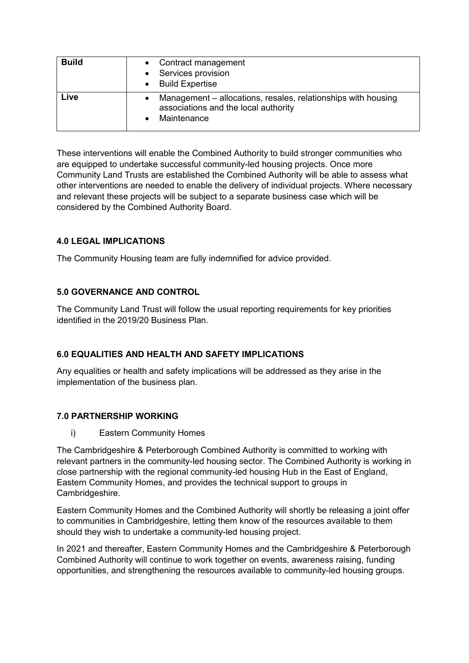| <b>Build</b> | • Contract management<br>Services provision<br>• Build Expertise                                                     |
|--------------|----------------------------------------------------------------------------------------------------------------------|
| Live         | Management – allocations, resales, relationships with housing<br>associations and the local authority<br>Maintenance |

These interventions will enable the Combined Authority to build stronger communities who are equipped to undertake successful community-led housing projects. Once more Community Land Trusts are established the Combined Authority will be able to assess what other interventions are needed to enable the delivery of individual projects. Where necessary and relevant these projects will be subject to a separate business case which will be considered by the Combined Authority Board.

### **4.0 LEGAL IMPLICATIONS**

The Community Housing team are fully indemnified for advice provided.

### **5.0 GOVERNANCE AND CONTROL**

The Community Land Trust will follow the usual reporting requirements for key priorities identified in the 2019/20 Business Plan.

## **6.0 EQUALITIES AND HEALTH AND SAFETY IMPLICATIONS**

Any equalities or health and safety implications will be addressed as they arise in the implementation of the business plan.

### **7.0 PARTNERSHIP WORKING**

i) Eastern Community Homes

The Cambridgeshire & Peterborough Combined Authority is committed to working with relevant partners in the community-led housing sector. The Combined Authority is working in close partnership with the regional community-led housing Hub in the East of England, Eastern Community Homes, and provides the technical support to groups in Cambridgeshire.

Eastern Community Homes and the Combined Authority will shortly be releasing a joint offer to communities in Cambridgeshire, letting them know of the resources available to them should they wish to undertake a community-led housing project.

In 2021 and thereafter, Eastern Community Homes and the Cambridgeshire & Peterborough Combined Authority will continue to work together on events, awareness raising, funding opportunities, and strengthening the resources available to community-led housing groups.